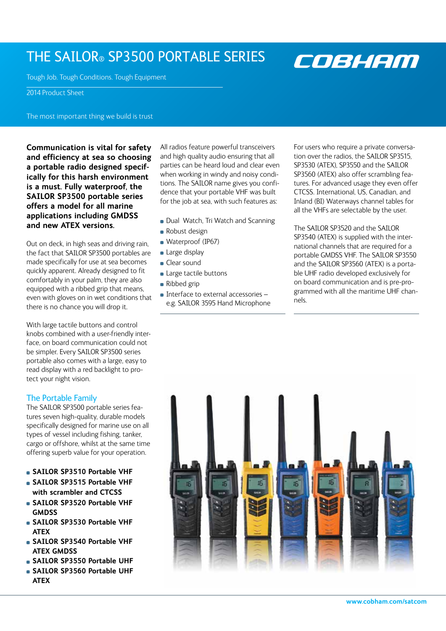## THE SAILOR® SP3500 PORTABLE SERIES

COBHAM

Tough Job. Tough Conditions. Tough Equipment

2014 Product Sheet

The most important thing we build is trust

**Communication is vital for safety and efficiency at sea so choosing a portable radio designed specifically for this harsh environment is a must. Fully waterproof, the SAILOR SP3500 portable series offers a model for all marine applications including GMDSS and new ATEX versions.**

Out on deck, in high seas and driving rain, the fact that SAILOR SP3500 portables are made specifically for use at sea becomes quickly apparent. Already designed to fit comfortably in your palm, they are also equipped with a ribbed grip that means, even with gloves on in wet conditions that there is no chance you will drop it.

With large tactile buttons and control knobs combined with a user-friendly interface, on board communication could not be simpler. Every SAILOR SP3500 series portable also comes with a large, easy to read display with a red backlight to protect your night vision.

### The Portable Family

The SAILOR SP3500 portable series features seven high-quality, durable models specifically designed for marine use on all types of vessel including fishing, tanker, cargo or offshore, whilst at the same time offering superb value for your operation.

- **SAILOR SP3510 Portable VHF**
- **SAILOR SP3515 Portable VHF with scrambler and CTCSS**
- **SAILOR SP3520 Portable VHF GMDSS**
- **SAILOR SP3530 Portable VHF ATEX**
- **SAILOR SP3540 Portable VHF ATEX GMDSS**
- **SAILOR SP3550 Portable UHF**
- **SAILOR SP3560 Portable UHF ATEX**

All radios feature powerful transceivers and high quality audio ensuring that all parties can be heard loud and clear even when working in windy and noisy conditions. The SAILOR name gives you confidence that your portable VHF was built for the job at sea, with such features as:

- Dual Watch, Tri Watch and Scanning
- **Robust design**
- **Waterproof (IP67)**
- **Large display**
- **Clear sound**
- **Large tactile buttons**
- Ribbed grip
- $\blacksquare$  Interface to external accessories  $$ e.g. SAILOR 3595 Hand Microphone

For users who require a private conversation over the radios, the SAILOR SP3515, SP3530 (ATEX), SP3550 and the SAILOR SP3560 (ATEX) also offer scrambling features. For advanced usage they even offer CTCSS. International, US, Canadian, and Inland (BI) Waterways channel tables for all the VHFs are selectable by the user.

The SAILOR SP3520 and the SAILOR SP3540 (ATEX) is supplied with the international channels that are required for a portable GMDSS VHF. The SAILOR SP3550 and the SAILOR SP3560 (ATEX) is a portable UHF radio developed exclusively for on board communication and is pre-programmed with all the maritime UHF channels.